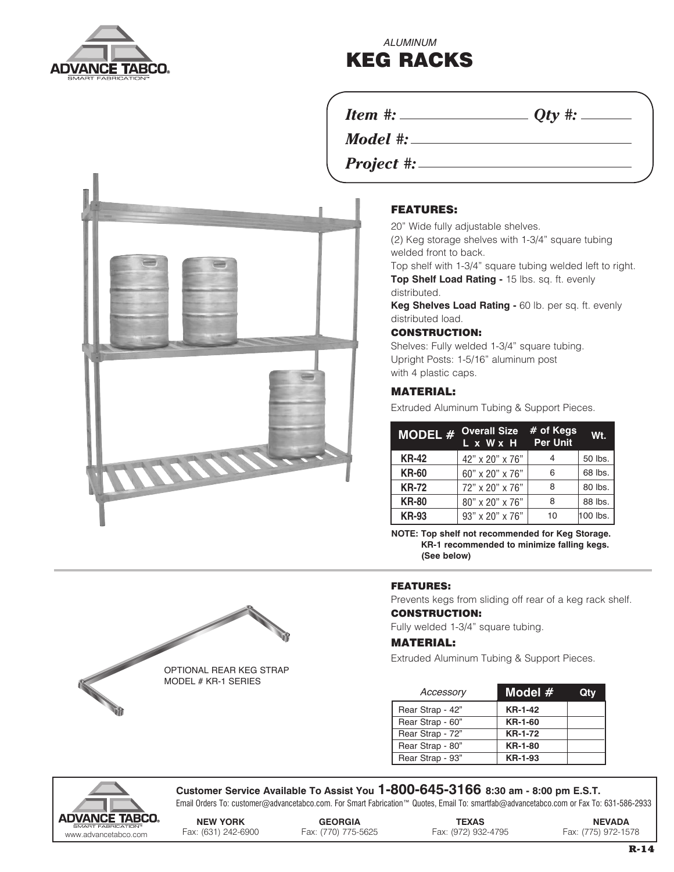

*ALUMINUM*

# KEG RACKS

*Item #: Qty #:*

*Model #:*

*Project #:*



### FEATURES:

20" Wide fully adjustable shelves.

(2) Keg storage shelves with 1-3/4" square tubing welded front to back.

Top shelf with 1-3/4" square tubing welded left to right.

**Top Shelf Load Rating -** 15 lbs. sq. ft. evenly distributed.

**Keg Shelves Load Rating -** 60 lb. per sq. ft. evenly distributed load.

#### CONSTRUCTION:

Shelves: Fully welded 1-3/4" square tubing. Upright Posts: 1-5/16" aluminum post with 4 plastic caps.

#### MATERIAL:

Extruded Aluminum Tubing & Support Pieces.

| <b>MODEL#</b> | Overall Size # of Kegs<br>L x W x H | <b>Per Unit</b> | W <sub>t.</sub> |
|---------------|-------------------------------------|-----------------|-----------------|
| <b>KR-42</b>  | 42" x 20" x 76"                     |                 | 50 lbs.         |
| <b>KR-60</b>  | 60" x 20" x 76"                     | 6               | 68 lbs.         |
| <b>KR-72</b>  | 72" x 20" x 76"                     | 8               | 80 lbs.         |
| <b>KR-80</b>  | 80" x 20" x 76"                     | 8               | 88 lbs.         |
| <b>KR-93</b>  | 93" x 20" x 76"                     | 10              | 100 lbs.        |

**NOTE: Top shelf not recommended for Keg Storage. KR-1 recommended to minimize falling kegs. (See below)**

#### FEATURES:

Prevents kegs from sliding off rear of a keg rack shelf.

### CONSTRUCTION:

Fully welded 1-3/4" square tubing.

#### MATERIAL:

Extruded Aluminum Tubing & Support Pieces.

| Accessory        | Model #        | Qtv |
|------------------|----------------|-----|
| Rear Strap - 42" | KR-1-42        |     |
| Rear Strap - 60" | KR-1-60        |     |
| Rear Strap - 72" | <b>KR-1-72</b> |     |
| Rear Strap - 80" | <b>KR-1-80</b> |     |
| Rear Strap - 93" | <b>KR-1-93</b> |     |



**Customer Service Available To Assist You 1-800-645-3166 8:30 am - 8:00 pm E.S.T.**

Email Orders To: customer@advancetabco.com. For Smart Fabrication™ Quotes, Email To: smartfab@advancetabco.com or Fax To: 631-586-2933

OPTIONAL REAR KEG STRAP MODEL # KR-1 SERIES

**NEW YORK GEORGIA TEXAS NEVADA**